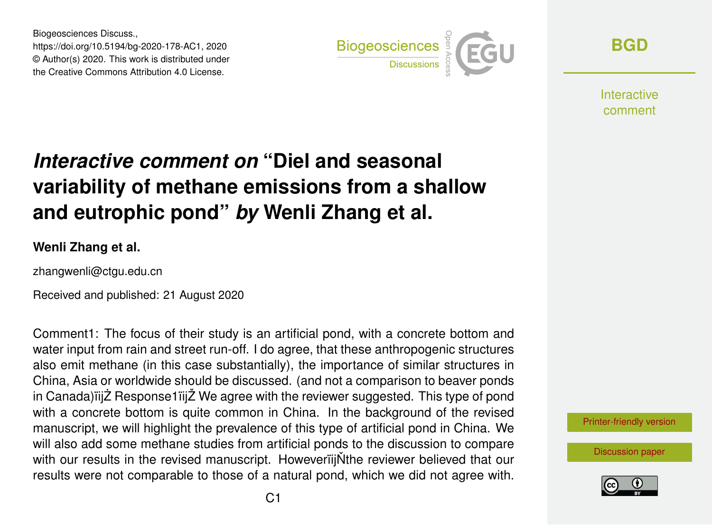Biogeosciences Discuss., https://doi.org/10.5194/bg-2020-178-AC1, 2020 © Author(s) 2020. This work is distributed under the Creative Commons Attribution 4.0 License.



**[BGD](https://bg.copernicus.org/preprints/)**

**Interactive** comment

# *Interactive comment on* **"Diel and seasonal variability of methane emissions from a shallow and eutrophic pond"** *by* **Wenli Zhang et al.**

#### **Wenli Zhang et al.**

zhangwenli@ctgu.edu.cn

Received and published: 21 August 2020

Comment1: The focus of their study is an artificial pond, with a concrete bottom and water input from rain and street run-off. I do agree, that these anthropogenic structures also emit methane (in this case substantially), the importance of similar structures in China, Asia or worldwide should be discussed. (and not a comparison to beaver ponds in Canada) iijZ Response1 iijZ We agree with the reviewer suggested. This type of pond with a concrete bottom is quite common in China. In the background of the revised manuscript, we will highlight the prevalence of this type of artificial pond in China. We will also add some methane studies from artificial ponds to the discussion to compare with our results in the revised manuscript. HoweveriijNthe reviewer believed that our results were not comparable to those of a natural pond, which we did not agree with.

[Printer-friendly version](https://bg.copernicus.org/preprints/bg-2020-178/bg-2020-178-AC1-print.pdf)

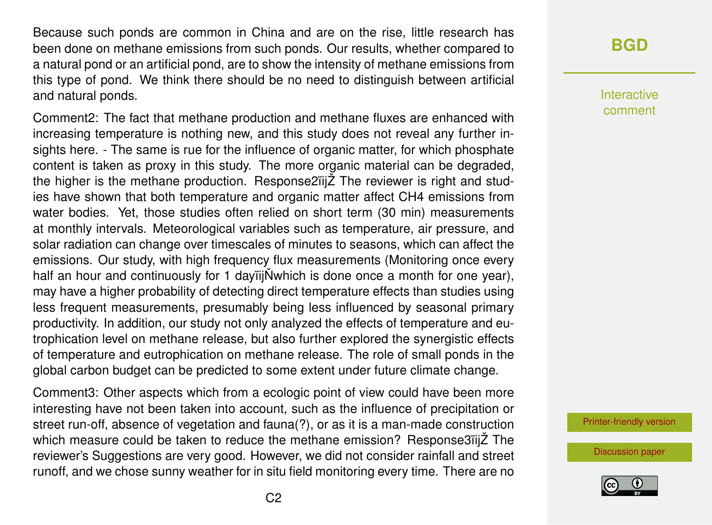Because such ponds are common in China and are on the rise, little research has been done on methane emissions from such ponds. Our results, whether compared to a natural pond or an artificial pond, are to show the intensity of methane emissions from this type of pond. We think there should be no need to distinguish between artificial and natural ponds.

Comment2: The fact that methane production and methane fluxes are enhanced with increasing temperature is nothing new, and this study does not reveal any further insights here. - The same is rue for the influence of organic matter, for which phosphate content is taken as proxy in this study. The more organic material can be degraded, the higher is the methane production. Response2ïijŽ The reviewer is right and studies have shown that both temperature and organic matter affect CH4 emissions from water bodies. Yet, those studies often relied on short term (30 min) measurements at monthly intervals. Meteorological variables such as temperature, air pressure, and solar radiation can change over timescales of minutes to seasons, which can affect the emissions. Our study, with high frequency flux measurements (Monitoring once every half an hour and continuously for 1 dayiij $\ddot{N}$ which is done once a month for one year), may have a higher probability of detecting direct temperature effects than studies using less frequent measurements, presumably being less influenced by seasonal primary productivity. In addition, our study not only analyzed the effects of temperature and eutrophication level on methane release, but also further explored the synergistic effects of temperature and eutrophication on methane release. The role of small ponds in the global carbon budget can be predicted to some extent under future climate change.

Comment3: Other aspects which from a ecologic point of view could have been more interesting have not been taken into account, such as the influence of precipitation or street run-off, absence of vegetation and fauna(?), or as it is a man-made construction which measure could be taken to reduce the methane emission? Response3ïijŽ The reviewer's Suggestions are very good. However, we did not consider rainfall and street runoff, and we chose sunny weather for in situ field monitoring every time. There are no

## **[BGD](https://bg.copernicus.org/preprints/)**

Interactive comment

[Printer-friendly version](https://bg.copernicus.org/preprints/bg-2020-178/bg-2020-178-AC1-print.pdf)

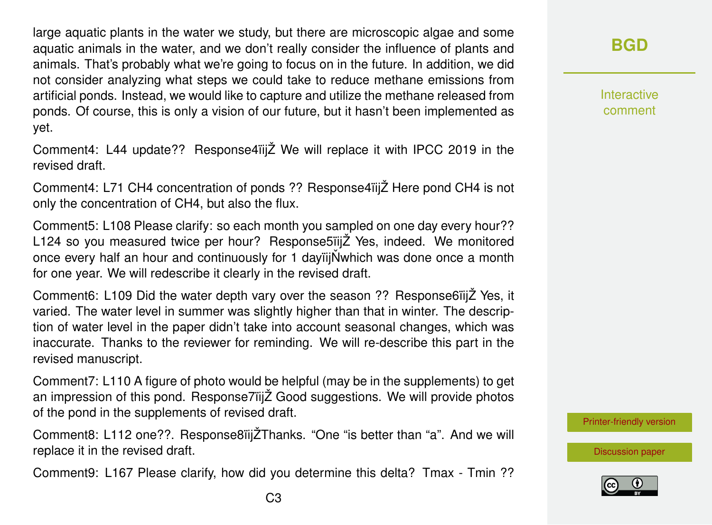large aquatic plants in the water we study, but there are microscopic algae and some aquatic animals in the water, and we don't really consider the influence of plants and animals. That's probably what we're going to focus on in the future. In addition, we did not consider analyzing what steps we could take to reduce methane emissions from artificial ponds. Instead, we would like to capture and utilize the methane released from ponds. Of course, this is only a vision of our future, but it hasn't been implemented as yet.

Comment4: L44 update?? Response4ïijŽ We will replace it with IPCC 2019 in the revised draft.

Comment4: L71 CH4 concentration of ponds ?? Response4ïijŽ Here pond CH4 is not only the concentration of CH4, but also the flux.

Comment5: L108 Please clarify: so each month you sampled on one day every hour?? L124 so you measured twice per hour? Response5ïijŽ Yes, indeed. We monitored once every half an hour and continuously for 1 dayiijNwhich was done once a month for one year. We will redescribe it clearly in the revised draft.

Comment6: L109 Did the water depth vary over the season ?? Response6ïijŽ Yes, it varied. The water level in summer was slightly higher than that in winter. The description of water level in the paper didn't take into account seasonal changes, which was inaccurate. Thanks to the reviewer for reminding. We will re-describe this part in the revised manuscript.

Comment7: L110 A figure of photo would be helpful (may be in the supplements) to get an impression of this pond. Response7ïijŽ Good suggestions. We will provide photos of the pond in the supplements of revised draft.

Comment8: L112 one??. Response8ïijŽThanks. "One "is better than "a". And we will replace it in the revised draft.

Comment9: L167 Please clarify, how did you determine this delta? Tmax - Tmin ??

Interactive comment

[Printer-friendly version](https://bg.copernicus.org/preprints/bg-2020-178/bg-2020-178-AC1-print.pdf)

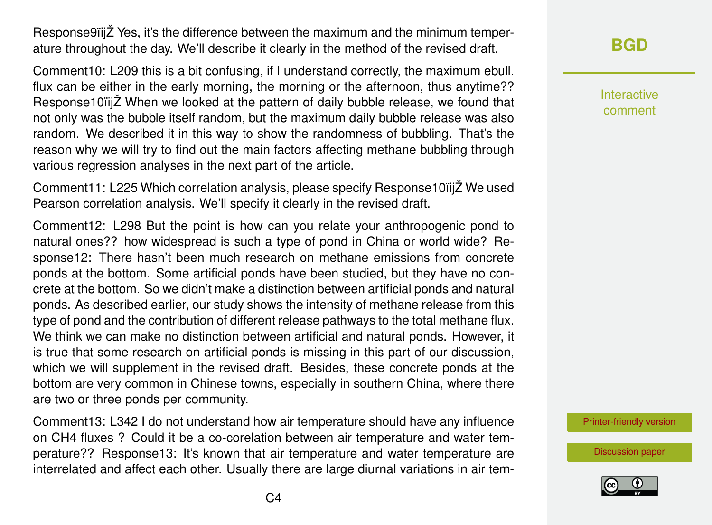Response9ïijŽ Yes, it's the difference between the maximum and the minimum temperature throughout the day. We'll describe it clearly in the method of the revised draft.

Comment10: L209 this is a bit confusing, if I understand correctly, the maximum ebull. flux can be either in the early morning, the morning or the afternoon, thus anytime?? Response10ïijŽ When we looked at the pattern of daily bubble release, we found that not only was the bubble itself random, but the maximum daily bubble release was also random. We described it in this way to show the randomness of bubbling. That's the reason why we will try to find out the main factors affecting methane bubbling through various regression analyses in the next part of the article.

Comment11: L225 Which correlation analysis, please specify Response10ïijŽ We used Pearson correlation analysis. We'll specify it clearly in the revised draft.

Comment12: L298 But the point is how can you relate your anthropogenic pond to natural ones?? how widespread is such a type of pond in China or world wide? Response12: There hasn't been much research on methane emissions from concrete ponds at the bottom. Some artificial ponds have been studied, but they have no concrete at the bottom. So we didn't make a distinction between artificial ponds and natural ponds. As described earlier, our study shows the intensity of methane release from this type of pond and the contribution of different release pathways to the total methane flux. We think we can make no distinction between artificial and natural ponds. However, it is true that some research on artificial ponds is missing in this part of our discussion, which we will supplement in the revised draft. Besides, these concrete ponds at the bottom are very common in Chinese towns, especially in southern China, where there are two or three ponds per community.

Comment13: L342 I do not understand how air temperature should have any influence on CH4 fluxes ? Could it be a co-corelation between air temperature and water temperature?? Response13: It's known that air temperature and water temperature are interrelated and affect each other. Usually there are large diurnal variations in air tem**[BGD](https://bg.copernicus.org/preprints/)**

Interactive comment

[Printer-friendly version](https://bg.copernicus.org/preprints/bg-2020-178/bg-2020-178-AC1-print.pdf)

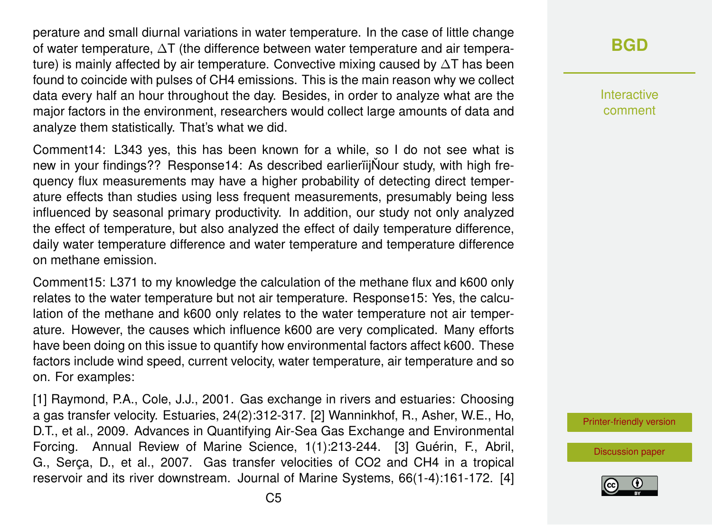perature and small diurnal variations in water temperature. In the case of little change of water temperature, ∆T (the difference between water temperature and air temperature) is mainly affected by air temperature. Convective mixing caused by ∆T has been found to coincide with pulses of CH4 emissions. This is the main reason why we collect data every half an hour throughout the day. Besides, in order to analyze what are the major factors in the environment, researchers would collect large amounts of data and analyze them statistically. That's what we did.

Comment14: L343 yes, this has been known for a while, so I do not see what is new in your findings?? Response14: As described earlieriijNour study, with high frequency flux measurements may have a higher probability of detecting direct temperature effects than studies using less frequent measurements, presumably being less influenced by seasonal primary productivity. In addition, our study not only analyzed the effect of temperature, but also analyzed the effect of daily temperature difference, daily water temperature difference and water temperature and temperature difference on methane emission.

Comment15: L371 to my knowledge the calculation of the methane flux and k600 only relates to the water temperature but not air temperature. Response15: Yes, the calculation of the methane and k600 only relates to the water temperature not air temperature. However, the causes which influence k600 are very complicated. Many efforts have been doing on this issue to quantify how environmental factors affect k600. These factors include wind speed, current velocity, water temperature, air temperature and so on. For examples:

[1] Raymond, P.A., Cole, J.J., 2001. Gas exchange in rivers and estuaries: Choosing a gas transfer velocity. Estuaries, 24(2):312-317. [2] Wanninkhof, R., Asher, W.E., Ho, D.T., et al., 2009. Advances in Quantifying Air-Sea Gas Exchange and Environmental Forcing. Annual Review of Marine Science, 1(1):213-244. [3] Guérin, F., Abril, G., Serça, D., et al., 2007. Gas transfer velocities of CO2 and CH4 in a tropical reservoir and its river downstream. Journal of Marine Systems, 66(1-4):161-172. [4]

## **[BGD](https://bg.copernicus.org/preprints/)**

Interactive comment

[Printer-friendly version](https://bg.copernicus.org/preprints/bg-2020-178/bg-2020-178-AC1-print.pdf)